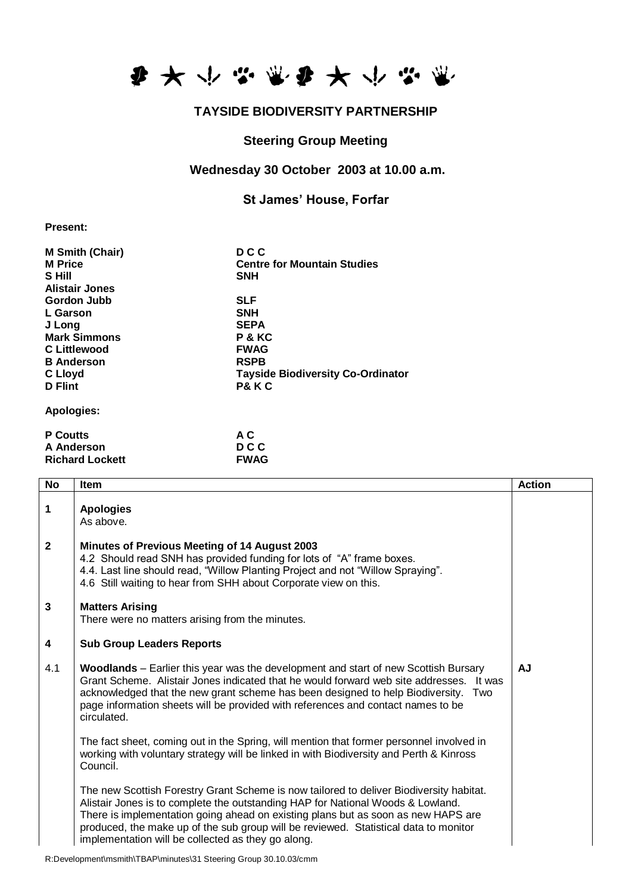

# **TAYSIDE BIODIVERSITY PARTNERSHIP**

## **Steering Group Meeting**

## **Wednesday 30 October 2003 at 10.00 a.m.**

**St James' House, Forfar**

**Present:**

| <b>M Smith (Chair)</b> | D C C                                    |
|------------------------|------------------------------------------|
| <b>M</b> Price         | <b>Centre for Mountain Studies</b>       |
| S Hill                 | <b>SNH</b>                               |
| <b>Alistair Jones</b>  |                                          |
| Gordon Jubb            | <b>SLF</b>                               |
| L Garson               | <b>SNH</b>                               |
| J Long                 | <b>SEPA</b>                              |
| <b>Mark Simmons</b>    | P & KC                                   |
| <b>C</b> Littlewood    | <b>FWAG</b>                              |
| <b>B</b> Anderson      | <b>RSPB</b>                              |
| C Lloyd                | <b>Tayside Biodiversity Co-Ordinator</b> |
| <b>D</b> Flint         | P& K C                                   |
| <b>Apologies:</b>      |                                          |
| <b>P</b> Coutts        | A C                                      |

| <b>P</b> Coutts        | A C         |
|------------------------|-------------|
| A Anderson             | D C C       |
| <b>Richard Lockett</b> | <b>FWAG</b> |

| $\overline{N}$ | Item                                                                                                                                                                                                                                                                                                                                                                                                          | <b>Action</b> |
|----------------|---------------------------------------------------------------------------------------------------------------------------------------------------------------------------------------------------------------------------------------------------------------------------------------------------------------------------------------------------------------------------------------------------------------|---------------|
| $\mathbf{1}$   | <b>Apologies</b><br>As above.                                                                                                                                                                                                                                                                                                                                                                                 |               |
| $\mathbf{2}$   | <b>Minutes of Previous Meeting of 14 August 2003</b><br>4.2 Should read SNH has provided funding for lots of "A" frame boxes.<br>4.4. Last line should read, "Willow Planting Project and not "Willow Spraying".<br>4.6 Still waiting to hear from SHH about Corporate view on this.                                                                                                                          |               |
| $\mathbf{3}$   | <b>Matters Arising</b><br>There were no matters arising from the minutes.                                                                                                                                                                                                                                                                                                                                     |               |
| 4              | <b>Sub Group Leaders Reports</b>                                                                                                                                                                                                                                                                                                                                                                              |               |
| 4.1            | <b>Woodlands</b> – Earlier this year was the development and start of new Scottish Bursary<br>Grant Scheme. Alistair Jones indicated that he would forward web site addresses. It was<br>acknowledged that the new grant scheme has been designed to help Biodiversity.<br>Two<br>page information sheets will be provided with references and contact names to be<br>circulated.                             | AJ            |
|                | The fact sheet, coming out in the Spring, will mention that former personnel involved in<br>working with voluntary strategy will be linked in with Biodiversity and Perth & Kinross<br>Council.                                                                                                                                                                                                               |               |
|                | The new Scottish Forestry Grant Scheme is now tailored to deliver Biodiversity habitat.<br>Alistair Jones is to complete the outstanding HAP for National Woods & Lowland.<br>There is implementation going ahead on existing plans but as soon as new HAPS are<br>produced, the make up of the sub group will be reviewed. Statistical data to monitor<br>implementation will be collected as they go along. |               |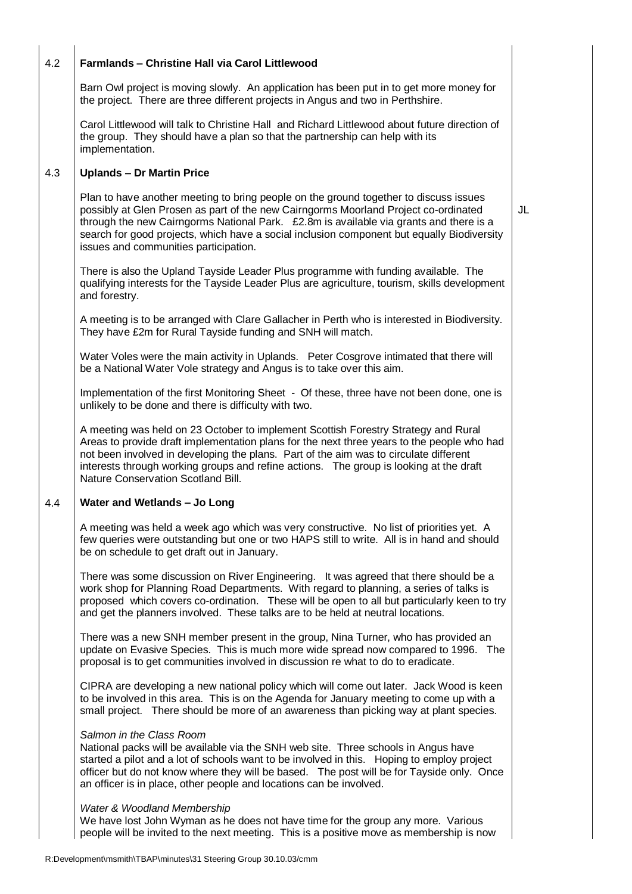## 4.2 4.3 4.4 **Farmlands – Christine Hall via Carol Littlewood** Barn Owl project is moving slowly. An application has been put in to get more money for the project. There are three different projects in Angus and two in Perthshire. Carol Littlewood will talk to Christine Hall and Richard Littlewood about future direction of the group. They should have a plan so that the partnership can help with its implementation. **Uplands – Dr Martin Price**  Plan to have another meeting to bring people on the ground together to discuss issues possibly at Glen Prosen as part of the new Cairngorms Moorland Project co-ordinated through the new Cairngorms National Park. £2.8m is available via grants and there is a search for good projects, which have a social inclusion component but equally Biodiversity issues and communities participation. There is also the Upland Tayside Leader Plus programme with funding available. The qualifying interests for the Tayside Leader Plus are agriculture, tourism, skills development and forestry. A meeting is to be arranged with Clare Gallacher in Perth who is interested in Biodiversity. They have £2m for Rural Tayside funding and SNH will match. Water Voles were the main activity in Uplands. Peter Cosgrove intimated that there will be a National Water Vole strategy and Angus is to take over this aim. Implementation of the first Monitoring Sheet - Of these, three have not been done, one is unlikely to be done and there is difficulty with two. A meeting was held on 23 October to implement Scottish Forestry Strategy and Rural Areas to provide draft implementation plans for the next three years to the people who had not been involved in developing the plans. Part of the aim was to circulate different interests through working groups and refine actions. The group is looking at the draft Nature Conservation Scotland Bill. **Water and Wetlands – Jo Long** A meeting was held a week ago which was very constructive. No list of priorities yet. A few queries were outstanding but one or two HAPS still to write. All is in hand and should be on schedule to get draft out in January.

There was some discussion on River Engineering. It was agreed that there should be a work shop for Planning Road Departments. With regard to planning, a series of talks is proposed which covers co-ordination. These will be open to all but particularly keen to try and get the planners involved. These talks are to be held at neutral locations.

There was a new SNH member present in the group, Nina Turner, who has provided an update on Evasive Species. This is much more wide spread now compared to 1996. The proposal is to get communities involved in discussion re what to do to eradicate.

CIPRA are developing a new national policy which will come out later. Jack Wood is keen to be involved in this area. This is on the Agenda for January meeting to come up with a small project. There should be more of an awareness than picking way at plant species.

#### *Salmon in the Class Room*

National packs will be available via the SNH web site. Three schools in Angus have started a pilot and a lot of schools want to be involved in this. Hoping to employ project officer but do not know where they will be based. The post will be for Tayside only. Once an officer is in place, other people and locations can be involved.

#### *Water & Woodland Membership*

We have lost John Wyman as he does not have time for the group any more. Various people will be invited to the next meeting. This is a positive move as membership is now JL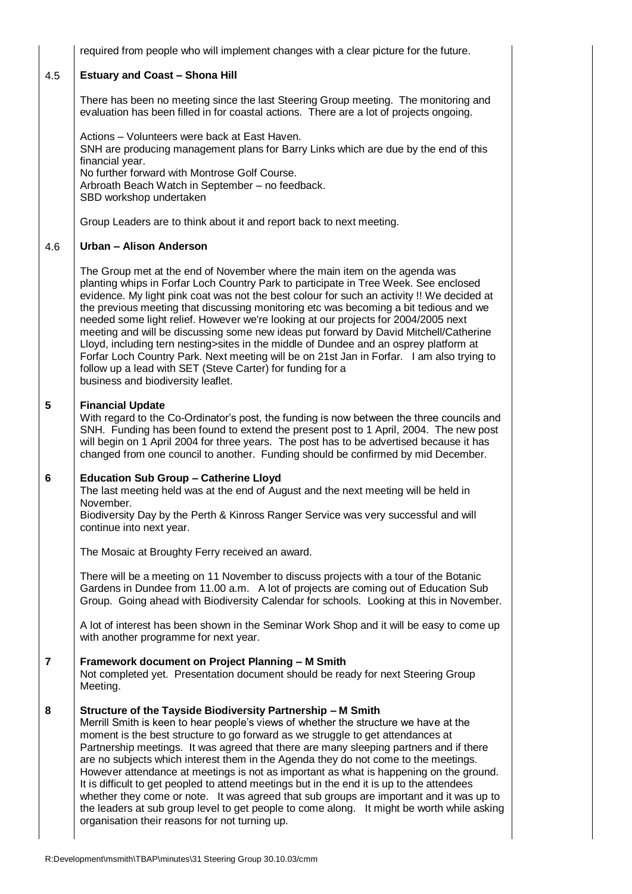| required from people who will implement changes with a clear picture for the future.                                                                                                                                                                                                                                                                                                                                                                                                                                                                                                                                                                                                                                                                                                                                                                       |
|------------------------------------------------------------------------------------------------------------------------------------------------------------------------------------------------------------------------------------------------------------------------------------------------------------------------------------------------------------------------------------------------------------------------------------------------------------------------------------------------------------------------------------------------------------------------------------------------------------------------------------------------------------------------------------------------------------------------------------------------------------------------------------------------------------------------------------------------------------|
| <b>Estuary and Coast - Shona Hill</b>                                                                                                                                                                                                                                                                                                                                                                                                                                                                                                                                                                                                                                                                                                                                                                                                                      |
| There has been no meeting since the last Steering Group meeting. The monitoring and<br>evaluation has been filled in for coastal actions. There are a lot of projects ongoing.                                                                                                                                                                                                                                                                                                                                                                                                                                                                                                                                                                                                                                                                             |
| Actions - Volunteers were back at East Haven.<br>SNH are producing management plans for Barry Links which are due by the end of this<br>financial year.<br>No further forward with Montrose Golf Course.<br>Arbroath Beach Watch in September - no feedback.<br>SBD workshop undertaken                                                                                                                                                                                                                                                                                                                                                                                                                                                                                                                                                                    |
| Group Leaders are to think about it and report back to next meeting.                                                                                                                                                                                                                                                                                                                                                                                                                                                                                                                                                                                                                                                                                                                                                                                       |
| Urban - Alison Anderson                                                                                                                                                                                                                                                                                                                                                                                                                                                                                                                                                                                                                                                                                                                                                                                                                                    |
| The Group met at the end of November where the main item on the agenda was<br>planting whips in Forfar Loch Country Park to participate in Tree Week. See enclosed<br>evidence. My light pink coat was not the best colour for such an activity !! We decided at<br>the previous meeting that discussing monitoring etc was becoming a bit tedious and we<br>needed some light relief. However we're looking at our projects for 2004/2005 next<br>meeting and will be discussing some new ideas put forward by David Mitchell/Catherine<br>Lloyd, including tern nesting>sites in the middle of Dundee and an osprey platform at<br>Forfar Loch Country Park. Next meeting will be on 21st Jan in Forfar. I am also trying to<br>follow up a lead with SET (Steve Carter) for funding for a<br>business and biodiversity leaflet.                         |
| <b>Financial Update</b><br>With regard to the Co-Ordinator's post, the funding is now between the three councils and<br>SNH. Funding has been found to extend the present post to 1 April, 2004. The new post<br>will begin on 1 April 2004 for three years. The post has to be advertised because it has<br>changed from one council to another. Funding should be confirmed by mid December.                                                                                                                                                                                                                                                                                                                                                                                                                                                             |
| <b>Education Sub Group - Catherine Lloyd</b><br>The last meeting held was at the end of August and the next meeting will be held in<br>November.<br>Biodiversity Day by the Perth & Kinross Ranger Service was very successful and will<br>continue into next year.                                                                                                                                                                                                                                                                                                                                                                                                                                                                                                                                                                                        |
| The Mosaic at Broughty Ferry received an award.                                                                                                                                                                                                                                                                                                                                                                                                                                                                                                                                                                                                                                                                                                                                                                                                            |
| There will be a meeting on 11 November to discuss projects with a tour of the Botanic<br>Gardens in Dundee from 11.00 a.m. A lot of projects are coming out of Education Sub<br>Group. Going ahead with Biodiversity Calendar for schools. Looking at this in November.                                                                                                                                                                                                                                                                                                                                                                                                                                                                                                                                                                                    |
| A lot of interest has been shown in the Seminar Work Shop and it will be easy to come up<br>with another programme for next year.                                                                                                                                                                                                                                                                                                                                                                                                                                                                                                                                                                                                                                                                                                                          |
| Framework document on Project Planning - M Smith<br>Not completed yet. Presentation document should be ready for next Steering Group<br>Meeting.                                                                                                                                                                                                                                                                                                                                                                                                                                                                                                                                                                                                                                                                                                           |
| Structure of the Tayside Biodiversity Partnership - M Smith<br>Merrill Smith is keen to hear people's views of whether the structure we have at the<br>moment is the best structure to go forward as we struggle to get attendances at<br>Partnership meetings. It was agreed that there are many sleeping partners and if there<br>are no subjects which interest them in the Agenda they do not come to the meetings.<br>However attendance at meetings is not as important as what is happening on the ground.<br>It is difficult to get peopled to attend meetings but in the end it is up to the attendees<br>whether they come or note. It was agreed that sub groups are important and it was up to<br>the leaders at sub group level to get people to come along. It might be worth while asking<br>organisation their reasons for not turning up. |
|                                                                                                                                                                                                                                                                                                                                                                                                                                                                                                                                                                                                                                                                                                                                                                                                                                                            |